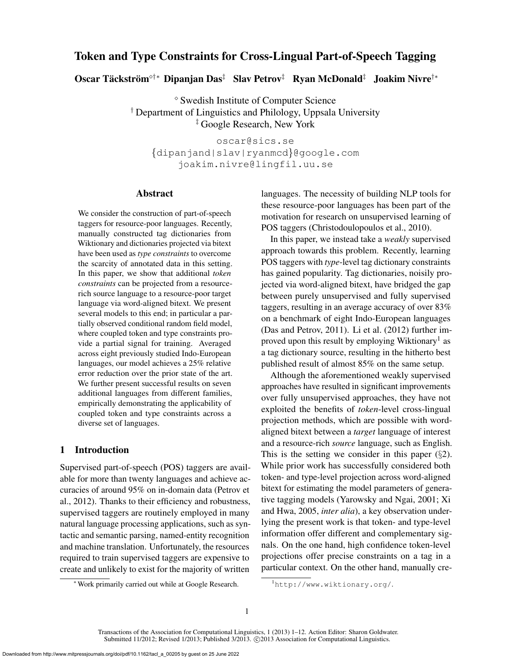# Token and Type Constraints for Cross-Lingual Part-of-Speech Tagging

Oscar Täckström°†\* Dipanjan Das‡ Slav Petrov‡ Ryan McDonald‡ Joakim Nivre†\*

 Swedish Institute of Computer Science † Department of Linguistics and Philology, Uppsala University ‡ Google Research, New York

oscar@sics.se {dipanjand|slav|ryanmcd}@google.com joakim.nivre@lingfil.uu.se

### Abstract

We consider the construction of part-of-speech taggers for resource-poor languages. Recently, manually constructed tag dictionaries from Wiktionary and dictionaries projected via bitext have been used as *type constraints* to overcome the scarcity of annotated data in this setting. In this paper, we show that additional *token constraints* can be projected from a resourcerich source language to a resource-poor target language via word-aligned bitext. We present several models to this end; in particular a partially observed conditional random field model, where coupled token and type constraints provide a partial signal for training. Averaged across eight previously studied Indo-European languages, our model achieves a 25% relative error reduction over the prior state of the art. We further present successful results on seven additional languages from different families, empirically demonstrating the applicability of coupled token and type constraints across a diverse set of languages.

# 1 Introduction

Supervised part-of-speech (POS) taggers are available for more than twenty languages and achieve accuracies of around 95% on in-domain data (Petrov et al., 2012). Thanks to their efficiency and robustness, supervised taggers are routinely employed in many natural language processing applications, such as syntactic and semantic parsing, named-entity recognition and machine translation. Unfortunately, the resources required to train supervised taggers are expensive to create and unlikely to exist for the majority of written

languages. The necessity of building NLP tools for these resource-poor languages has been part of the motivation for research on unsupervised learning of POS taggers (Christodoulopoulos et al., 2010).

In this paper, we instead take a *weakly* supervised approach towards this problem. Recently, learning POS taggers with *type*-level tag dictionary constraints has gained popularity. Tag dictionaries, noisily projected via word-aligned bitext, have bridged the gap between purely unsupervised and fully supervised taggers, resulting in an average accuracy of over 83% on a benchmark of eight Indo-European languages (Das and Petrov, 2011). Li et al. (2012) further improved upon this result by employing Wiktionary<sup>1</sup> as a tag dictionary source, resulting in the hitherto best published result of almost 85% on the same setup.

Although the aforementioned weakly supervised approaches have resulted in significant improvements over fully unsupervised approaches, they have not exploited the benefits of *token*-level cross-lingual projection methods, which are possible with wordaligned bitext between a *target* language of interest and a resource-rich *source* language, such as English. This is the setting we consider in this paper  $(\S2)$ . While prior work has successfully considered both token- and type-level projection across word-aligned bitext for estimating the model parameters of generative tagging models (Yarowsky and Ngai, 2001; Xi and Hwa, 2005, *inter alia*), a key observation underlying the present work is that token- and type-level information offer different and complementary signals. On the one hand, high confidence token-level projections offer precise constraints on a tag in a particular context. On the other hand, manually cre-

<sup>∗</sup>Work primarily carried out while at Google Research.

<sup>1</sup>http://www.wiktionary.org/.

Transactions of the Association for Computational Linguistics, 1 (2013) 1–12. Action Editor: Sharon Goldwater. Submitted 11/2012; Revised 1/2013; Published 3/2013. © 2013 Association for Computational Linguistics.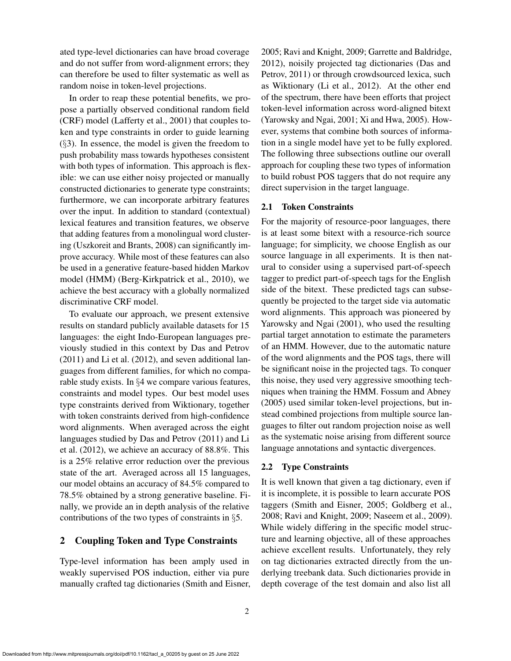ated type-level dictionaries can have broad coverage and do not suffer from word-alignment errors; they can therefore be used to filter systematic as well as random noise in token-level projections.

In order to reap these potential benefits, we propose a partially observed conditional random field (CRF) model (Lafferty et al., 2001) that couples token and type constraints in order to guide learning  $(\S$ 3). In essence, the model is given the freedom to push probability mass towards hypotheses consistent with both types of information. This approach is flexible: we can use either noisy projected or manually constructed dictionaries to generate type constraints; furthermore, we can incorporate arbitrary features over the input. In addition to standard (contextual) lexical features and transition features, we observe that adding features from a monolingual word clustering (Uszkoreit and Brants, 2008) can significantly improve accuracy. While most of these features can also be used in a generative feature-based hidden Markov model (HMM) (Berg-Kirkpatrick et al., 2010), we achieve the best accuracy with a globally normalized discriminative CRF model.

To evaluate our approach, we present extensive results on standard publicly available datasets for 15 languages: the eight Indo-European languages previously studied in this context by Das and Petrov (2011) and Li et al. (2012), and seven additional languages from different families, for which no comparable study exists. In §4 we compare various features, constraints and model types. Our best model uses type constraints derived from Wiktionary, together with token constraints derived from high-confidence word alignments. When averaged across the eight languages studied by Das and Petrov (2011) and Li et al. (2012), we achieve an accuracy of 88.8%. This is a 25% relative error reduction over the previous state of the art. Averaged across all 15 languages, our model obtains an accuracy of 84.5% compared to 78.5% obtained by a strong generative baseline. Finally, we provide an in depth analysis of the relative contributions of the two types of constraints in §5.

### 2 Coupling Token and Type Constraints

Type-level information has been amply used in weakly supervised POS induction, either via pure manually crafted tag dictionaries (Smith and Eisner, 2005; Ravi and Knight, 2009; Garrette and Baldridge, 2012), noisily projected tag dictionaries (Das and Petrov, 2011) or through crowdsourced lexica, such as Wiktionary (Li et al., 2012). At the other end of the spectrum, there have been efforts that project token-level information across word-aligned bitext (Yarowsky and Ngai, 2001; Xi and Hwa, 2005). However, systems that combine both sources of information in a single model have yet to be fully explored. The following three subsections outline our overall approach for coupling these two types of information to build robust POS taggers that do not require any direct supervision in the target language.

### 2.1 Token Constraints

For the majority of resource-poor languages, there is at least some bitext with a resource-rich source language; for simplicity, we choose English as our source language in all experiments. It is then natural to consider using a supervised part-of-speech tagger to predict part-of-speech tags for the English side of the bitext. These predicted tags can subsequently be projected to the target side via automatic word alignments. This approach was pioneered by Yarowsky and Ngai (2001), who used the resulting partial target annotation to estimate the parameters of an HMM. However, due to the automatic nature of the word alignments and the POS tags, there will be significant noise in the projected tags. To conquer this noise, they used very aggressive smoothing techniques when training the HMM. Fossum and Abney (2005) used similar token-level projections, but instead combined projections from multiple source languages to filter out random projection noise as well as the systematic noise arising from different source language annotations and syntactic divergences.

### 2.2 Type Constraints

It is well known that given a tag dictionary, even if it is incomplete, it is possible to learn accurate POS taggers (Smith and Eisner, 2005; Goldberg et al., 2008; Ravi and Knight, 2009; Naseem et al., 2009). While widely differing in the specific model structure and learning objective, all of these approaches achieve excellent results. Unfortunately, they rely on tag dictionaries extracted directly from the underlying treebank data. Such dictionaries provide in depth coverage of the test domain and also list all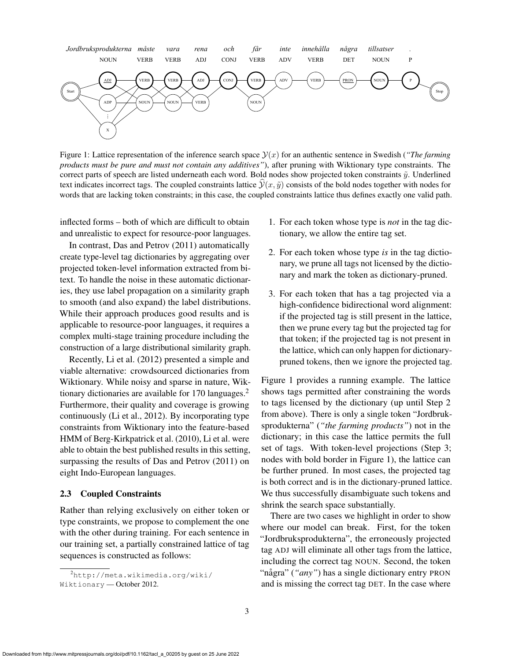

Figure 1: Lattice representation of the inference search space  $\mathcal{Y}(x)$  for an authentic sentence in Swedish (*"The farming products must be pure and must not contain any additives"*), after pruning with Wiktionary type constraints. The correct parts of speech are listed underneath each word. Bold nodes show projected token constraints  $\tilde{y}$ . Underlined text indicates incorrect tags. The coupled constraints lattice  $\mathcal{Y}(x, \tilde{y})$  consists of the bold nodes together with nodes for words that are lacking token constraints; in this case, the coupled constraints lattice thus defines exactly one valid path.

inflected forms – both of which are difficult to obtain and unrealistic to expect for resource-poor languages.

In contrast, Das and Petrov (2011) automatically create type-level tag dictionaries by aggregating over projected token-level information extracted from bitext. To handle the noise in these automatic dictionaries, they use label propagation on a similarity graph to smooth (and also expand) the label distributions. While their approach produces good results and is applicable to resource-poor languages, it requires a complex multi-stage training procedure including the construction of a large distributional similarity graph.

Recently, Li et al. (2012) presented a simple and viable alternative: crowdsourced dictionaries from Wiktionary. While noisy and sparse in nature, Wiktionary dictionaries are available for 170 languages.<sup>2</sup> Furthermore, their quality and coverage is growing continuously (Li et al., 2012). By incorporating type constraints from Wiktionary into the feature-based HMM of Berg-Kirkpatrick et al. (2010), Li et al. were able to obtain the best published results in this setting, surpassing the results of Das and Petrov (2011) on eight Indo-European languages.

#### 2.3 Coupled Constraints

Rather than relying exclusively on either token or type constraints, we propose to complement the one with the other during training. For each sentence in our training set, a partially constrained lattice of tag sequences is constructed as follows:

- 1. For each token whose type is *not* in the tag dictionary, we allow the entire tag set.
- 2. For each token whose type *is* in the tag dictionary, we prune all tags not licensed by the dictionary and mark the token as dictionary-pruned.
- 3. For each token that has a tag projected via a high-confidence bidirectional word alignment: if the projected tag is still present in the lattice, then we prune every tag but the projected tag for that token; if the projected tag is not present in the lattice, which can only happen for dictionarypruned tokens, then we ignore the projected tag.

Figure 1 provides a running example. The lattice shows tags permitted after constraining the words to tags licensed by the dictionary (up until Step 2 from above). There is only a single token "Jordbruksprodukterna" (*"the farming products"*) not in the dictionary; in this case the lattice permits the full set of tags. With token-level projections (Step 3; nodes with bold border in Figure 1), the lattice can be further pruned. In most cases, the projected tag is both correct and is in the dictionary-pruned lattice. We thus successfully disambiguate such tokens and shrink the search space substantially.

There are two cases we highlight in order to show where our model can break. First, for the token "Jordbruksprodukterna", the erroneously projected tag ADJ will eliminate all other tags from the lattice, including the correct tag NOUN. Second, the token "några" ("*any*") has a single dictionary entry PRON and is missing the correct tag DET. In the case where

<sup>2</sup>http://meta.wikimedia.org/wiki/ Wiktionary — October 2012.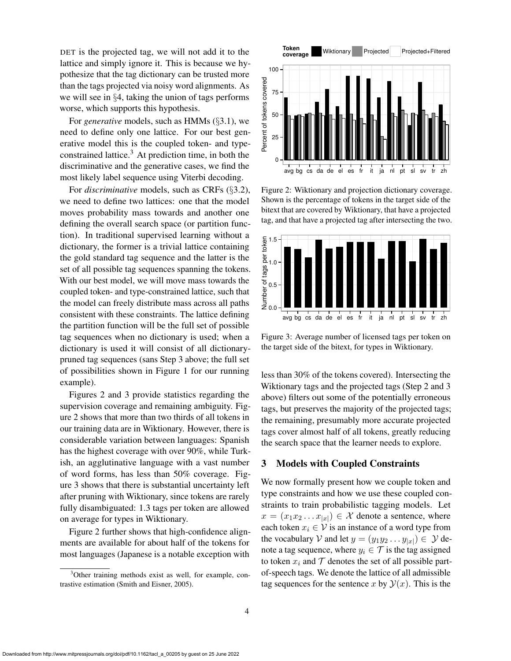DET is the projected tag, we will not add it to the lattice and simply ignore it. This is because we hypothesize that the tag dictionary can be trusted more than the tags projected via noisy word alignments. As we will see in §4, taking the union of tags performs worse, which supports this hypothesis.

For *generative* models, such as HMMs (§3.1), we need to define only one lattice. For our best generative model this is the coupled token- and typeconstrained lattice.<sup>3</sup> At prediction time, in both the discriminative and the generative cases, we find the most likely label sequence using Viterbi decoding.

For *discriminative* models, such as CRFs (§3.2), we need to define two lattices: one that the model moves probability mass towards and another one defining the overall search space (or partition function). In traditional supervised learning without a dictionary, the former is a trivial lattice containing the gold standard tag sequence and the latter is the set of all possible tag sequences spanning the tokens. With our best model, we will move mass towards the coupled token- and type-constrained lattice, such that the model can freely distribute mass across all paths consistent with these constraints. The lattice defining the partition function will be the full set of possible tag sequences when no dictionary is used; when a dictionary is used it will consist of all dictionarypruned tag sequences (sans Step 3 above; the full set of possibilities shown in Figure 1 for our running example).

Figures 2 and 3 provide statistics regarding the supervision coverage and remaining ambiguity. Figure 2 shows that more than two thirds of all tokens in our training data are in Wiktionary. However, there is considerable variation between languages: Spanish has the highest coverage with over 90%, while Turkish, an agglutinative language with a vast number of word forms, has less than 50% coverage. Figure 3 shows that there is substantial uncertainty left after pruning with Wiktionary, since tokens are rarely fully disambiguated: 1.3 tags per token are allowed on average for types in Wiktionary.

Figure 2 further shows that high-confidence alignments are available for about half of the tokens for most languages (Japanese is a notable exception with



Figure 2: Wiktionary and projection dictionary coverage. Shown is the percentage of tokens in the target side of the bitext that are covered by Wiktionary, that have a projected tag, and that have a projected tag after intersecting the two.



Figure 3: Average number of licensed tags per token on the target side of the bitext, for types in Wiktionary.

less than 30% of the tokens covered). Intersecting the Wiktionary tags and the projected tags (Step 2 and 3 above) filters out some of the potentially erroneous tags, but preserves the majority of the projected tags; the remaining, presumably more accurate projected tags cover almost half of all tokens, greatly reducing the search space that the learner needs to explore.

## 3 Models with Coupled Constraints

We now formally present how we couple token and type constraints and how we use these coupled constraints to train probabilistic tagging models. Let  $x = (x_1 x_2 \dots x_{|x|}) \in \mathcal{X}$  denote a sentence, where each token  $x_i \in V$  is an instance of a word type from the vocabulary V and let  $y = (y_1 y_2 \dots y_{|x|}) \in \mathcal{Y}$  denote a tag sequence, where  $y_i \in \mathcal{T}$  is the tag assigned to token  $x_i$  and  $\mathcal T$  denotes the set of all possible partof-speech tags. We denote the lattice of all admissible tag sequences for the sentence x by  $\mathcal{Y}(x)$ . This is the

<sup>&</sup>lt;sup>3</sup>Other training methods exist as well, for example, contrastive estimation (Smith and Eisner, 2005).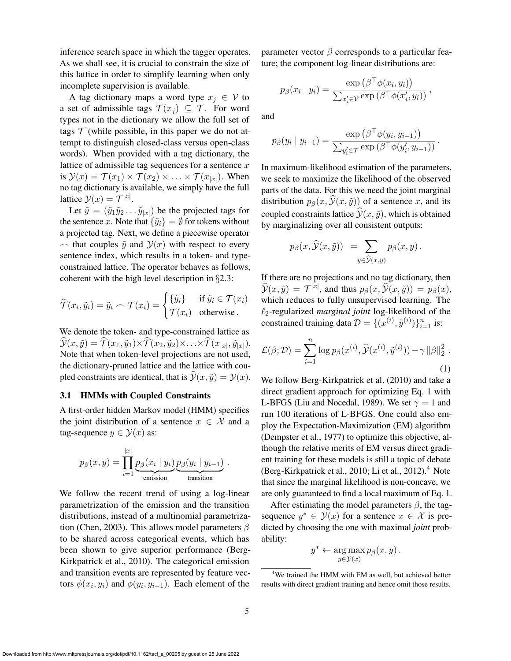inference search space in which the tagger operates. As we shall see, it is crucial to constrain the size of this lattice in order to simplify learning when only incomplete supervision is available.

A tag dictionary maps a word type  $x_i \in V$  to a set of admissible tags  $\mathcal{T}(x_i) \subseteq \mathcal{T}$ . For word types not in the dictionary we allow the full set of tags  $T$  (while possible, in this paper we do not attempt to distinguish closed-class versus open-class words). When provided with a tag dictionary, the lattice of admissible tag sequences for a sentence  $x$ is  $\mathcal{Y}(x) = \mathcal{T}(x_1) \times \mathcal{T}(x_2) \times \ldots \times \mathcal{T}(x_{|x|})$ . When no tag dictionary is available, we simply have the full lattice  $\mathcal{Y}(x) = \mathcal{T}^{|x|}$ .

Let  $\tilde{y} = (\tilde{y}_1 \tilde{y}_2 \dots \tilde{y}_{|x|})$  be the projected tags for the sentence x. Note that  $\{\tilde{y}_i\} = \emptyset$  for tokens without a projected tag. Next, we define a piecewise operator  $\sim$  that couples  $\tilde{y}$  and  $\mathcal{Y}(x)$  with respect to every sentence index, which results in a token- and typeconstrained lattice. The operator behaves as follows, coherent with the high level description in §2.3:

$$
\widehat{\mathcal{T}}(x_i, \tilde{y}_i) = \tilde{y}_i \frown \mathcal{T}(x_i) = \begin{cases} {\{\tilde{y}_i\}} & \text{if } \tilde{y}_i \in \mathcal{T}(x_i) \\ \mathcal{T}(x_i) & \text{otherwise.} \end{cases}
$$

We denote the token- and type-constrained lattice as  $\mathcal{Y}(x, \tilde{y}) = \mathcal{T}(x_1, \tilde{y}_1) \times \mathcal{T}(x_2, \tilde{y}_2) \times \ldots \times \mathcal{T}(x_{|x|}, \tilde{y}_{|x|}).$ Note that when token-level projections are not used, the dictionary-pruned lattice and the lattice with coupled constraints are identical, that is  $\hat{y}(x, \tilde{y}) = y(x)$ .

#### 3.1 HMMs with Coupled Constraints

A first-order hidden Markov model (HMM) specifies the joint distribution of a sentence  $x \in \mathcal{X}$  and a tag-sequence  $y \in \mathcal{Y}(x)$  as:

$$
p_{\beta}(x, y) = \prod_{i=1}^{|x|} \underbrace{p_{\beta}(x_i \mid y_i)}_{\text{emission}} \underbrace{p_{\beta}(y_i \mid y_{i-1})}_{\text{transition}}
$$

We follow the recent trend of using a log-linear parametrization of the emission and the transition distributions, instead of a multinomial parametrization (Chen, 2003). This allows model parameters  $\beta$ to be shared across categorical events, which has been shown to give superior performance (Berg-Kirkpatrick et al., 2010). The categorical emission and transition events are represented by feature vectors  $\phi(x_i, y_i)$  and  $\phi(y_i, y_{i-1})$ . Each element of the

parameter vector  $\beta$  corresponds to a particular feature; the component log-linear distributions are:

$$
p_{\beta}(x_i \mid y_i) = \frac{\exp\left(\beta^{\top} \phi(x_i, y_i)\right)}{\sum_{x_i' \in \mathcal{V}} \exp\left(\beta^{\top} \phi(x_i', y_i)\right)},
$$

and

$$
p_{\beta}(y_i \mid y_{i-1}) = \frac{\exp\left(\beta^{\top} \phi(y_i, y_{i-1})\right)}{\sum_{y'_i \in \mathcal{T}} \exp\left(\beta^{\top} \phi(y'_i, y_{i-1})\right)}.
$$

In maximum-likelihood estimation of the parameters, we seek to maximize the likelihood of the observed parts of the data. For this we need the joint marginal distribution  $p_\beta(x, \hat{y}(x, \hat{y}))$  of a sentence x, and its coupled constraints lattice  $\hat{y}(x, \tilde{y})$ , which is obtained by marginalizing over all consistent outputs:

$$
p_{\beta}(x,\widehat{\mathcal{Y}}(x,\widetilde{y})) = \sum_{y \in \widehat{\mathcal{Y}}(x,\widetilde{y})} p_{\beta}(x,y).
$$

If there are no projections and no tag dictionary, then  $\widehat{\mathcal{Y}}(x,\tilde{y}) = \mathcal{T}^{|x|}$ , and thus  $p_\beta(x,\widehat{\mathcal{Y}}(x,\tilde{y})) = p_\beta(x)$ , which reduces to fully unsupervised learning. The  $\ell_2$ -regularized *marginal joint* log-likelihood of the constrained training data  $\mathcal{D} = \{(x^{(i)}, \tilde{y}^{(i)})\}_{i=1}^n$  is:

$$
\mathcal{L}(\beta; \mathcal{D}) = \sum_{i=1}^{n} \log p_{\beta}(x^{(i)}, \widehat{\mathcal{Y}}(x^{(i)}, \widetilde{y}^{(i)})) - \gamma ||\beta||_2^2.
$$
\n(1)

We follow Berg-Kirkpatrick et al. (2010) and take a direct gradient approach for optimizing Eq. 1 with L-BFGS (Liu and Nocedal, 1989). We set  $\gamma = 1$  and run 100 iterations of L-BFGS. One could also employ the Expectation-Maximization (EM) algorithm (Dempster et al., 1977) to optimize this objective, although the relative merits of EM versus direct gradient training for these models is still a topic of debate (Berg-Kirkpatrick et al., 2010; Li et al., 2012). $<sup>4</sup>$  Note</sup> that since the marginal likelihood is non-concave, we are only guaranteed to find a local maximum of Eq. 1.

After estimating the model parameters  $\beta$ , the tagsequence  $y^* \in \mathcal{Y}(x)$  for a sentence  $x \in \mathcal{X}$  is predicted by choosing the one with maximal *joint* probability:

$$
y^* \leftarrow \argmax_{y \in \mathcal{Y}(x)} p_{\beta}(x, y).
$$

.

<sup>&</sup>lt;sup>4</sup>We trained the HMM with EM as well, but achieved better results with direct gradient training and hence omit those results.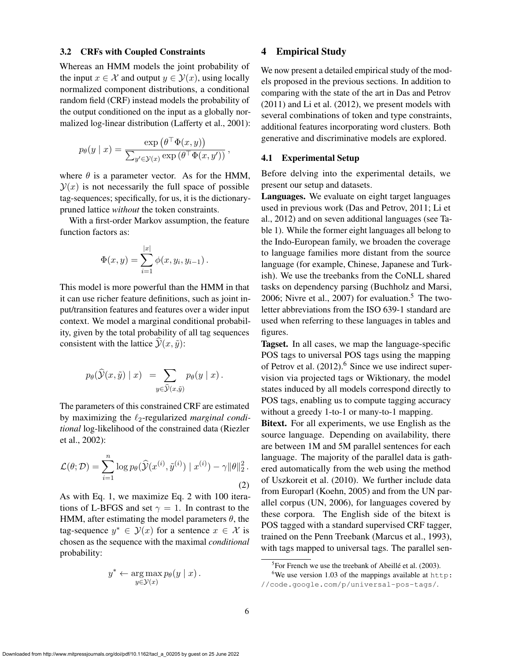#### 3.2 CRFs with Coupled Constraints

Whereas an HMM models the joint probability of the input  $x \in \mathcal{X}$  and output  $y \in \mathcal{Y}(x)$ , using locally normalized component distributions, a conditional random field (CRF) instead models the probability of the output conditioned on the input as a globally normalized log-linear distribution (Lafferty et al., 2001):

$$
p_{\theta}(y \mid x) = \frac{\exp(\theta^{\top} \Phi(x, y))}{\sum_{y' \in \mathcal{Y}(x)} \exp(\theta^{\top} \Phi(x, y'))},
$$

where  $\theta$  is a parameter vector. As for the HMM,  $\mathcal{Y}(x)$  is not necessarily the full space of possible tag-sequences; specifically, for us, it is the dictionarypruned lattice *without* the token constraints.

With a first-order Markov assumption, the feature function factors as:

$$
\Phi(x, y) = \sum_{i=1}^{|x|} \phi(x, y_i, y_{i-1}).
$$

This model is more powerful than the HMM in that it can use richer feature definitions, such as joint input/transition features and features over a wider input context. We model a marginal conditional probability, given by the total probability of all tag sequences consistent with the lattice  $\hat{y}(x, \tilde{y})$ :

$$
p_{\theta}(\widehat{\mathcal{Y}}(x,\tilde{y}) | x) = \sum_{y \in \widehat{\mathcal{Y}}(x,\tilde{y})} p_{\theta}(y | x).
$$

The parameters of this constrained CRF are estimated by maximizing the  $\ell_2$ -regularized *marginal conditional* log-likelihood of the constrained data (Riezler et al., 2002):

$$
\mathcal{L}(\theta; \mathcal{D}) = \sum_{i=1}^{n} \log p_{\theta}(\widehat{\mathcal{Y}}(x^{(i)}, \tilde{y}^{(i)}) \mid x^{(i)}) - \gamma \|\theta\|_{2}^{2}.
$$
\n(2)

As with Eq. 1, we maximize Eq. 2 with 100 iterations of L-BFGS and set  $\gamma = 1$ . In contrast to the HMM, after estimating the model parameters  $\theta$ , the tag-sequence  $y^* \in \mathcal{Y}(x)$  for a sentence  $x \in \mathcal{X}$  is chosen as the sequence with the maximal *conditional* probability:

$$
y^* \leftarrow \arg\max_{y \in \mathcal{Y}(x)} p_{\theta}(y \mid x).
$$

#### 4 Empirical Study

We now present a detailed empirical study of the models proposed in the previous sections. In addition to comparing with the state of the art in Das and Petrov (2011) and Li et al. (2012), we present models with several combinations of token and type constraints, additional features incorporating word clusters. Both generative and discriminative models are explored.

#### 4.1 Experimental Setup

Before delving into the experimental details, we present our setup and datasets.

Languages. We evaluate on eight target languages used in previous work (Das and Petrov, 2011; Li et al., 2012) and on seven additional languages (see Table 1). While the former eight languages all belong to the Indo-European family, we broaden the coverage to language families more distant from the source language (for example, Chinese, Japanese and Turkish). We use the treebanks from the CoNLL shared tasks on dependency parsing (Buchholz and Marsi, 2006; Nivre et al., 2007) for evaluation.<sup>5</sup> The twoletter abbreviations from the ISO 639-1 standard are used when referring to these languages in tables and figures.

Tagset. In all cases, we map the language-specific POS tags to universal POS tags using the mapping of Petrov et al.  $(2012)$ <sup>6</sup> Since we use indirect supervision via projected tags or Wiktionary, the model states induced by all models correspond directly to POS tags, enabling us to compute tagging accuracy without a greedy 1-to-1 or many-to-1 mapping.

Bitext. For all experiments, we use English as the source language. Depending on availability, there are between 1M and 5M parallel sentences for each language. The majority of the parallel data is gathered automatically from the web using the method of Uszkoreit et al. (2010). We further include data from Europarl (Koehn, 2005) and from the UN parallel corpus (UN, 2006), for languages covered by these corpora. The English side of the bitext is POS tagged with a standard supervised CRF tagger, trained on the Penn Treebank (Marcus et al., 1993), with tags mapped to universal tags. The parallel sen-

 ${}^{5}$ For French we use the treebank of Abeillé et al. (2003).

<sup>6</sup>We use version 1.03 of the mappings available at http: //code.google.com/p/universal-pos-tags/.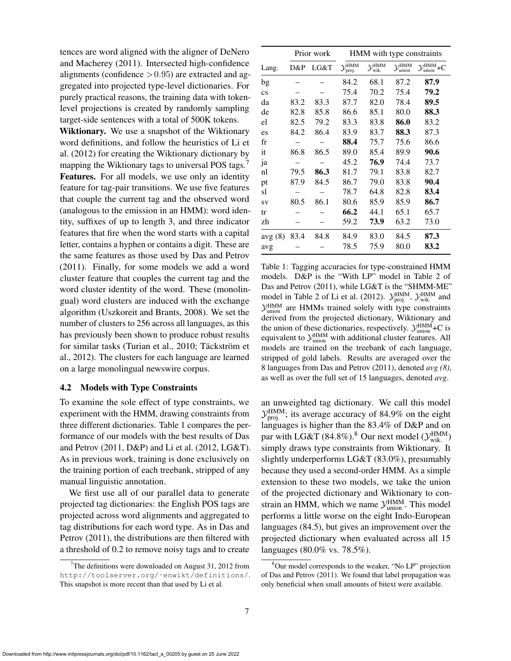tences are word aligned with the aligner of DeNero and Macherey (2011). Intersected high-confidence alignments (confidence  $> 0.95$ ) are extracted and aggregated into projected type-level dictionaries. For purely practical reasons, the training data with tokenlevel projections is created by randomly sampling target-side sentences with a total of 500K tokens.

Wiktionary. We use a snapshot of the Wiktionary word definitions, and follow the heuristics of Li et al. (2012) for creating the Wiktionary dictionary by mapping the Wiktionary tags to universal POS tags.<sup>7</sup> Features. For all models, we use only an identity feature for tag-pair transitions. We use five features that couple the current tag and the observed word (analogous to the emission in an HMM): word identity, suffixes of up to length 3, and three indicator features that fire when the word starts with a capital letter, contains a hyphen or contains a digit. These are the same features as those used by Das and Petrov (2011). Finally, for some models we add a word cluster feature that couples the current tag and the word cluster identity of the word. These (monolingual) word clusters are induced with the exchange algorithm (Uszkoreit and Brants, 2008). We set the number of clusters to 256 across all languages, as this has previously been shown to produce robust results for similar tasks (Turian et al., 2010; Täckström et al., 2012). The clusters for each language are learned on a large monolingual newswire corpus.

#### 4.2 Models with Type Constraints

To examine the sole effect of type constraints, we experiment with the HMM, drawing constraints from three different dictionaries. Table 1 compares the performance of our models with the best results of Das and Petrov (2011, D&P) and Li et al. (2012, LG&T). As in previous work, training is done exclusively on the training portion of each treebank, stripped of any manual linguistic annotation.

We first use all of our parallel data to generate projected tag dictionaries: the English POS tags are projected across word alignments and aggregated to tag distributions for each word type. As in Das and Petrov (2011), the distributions are then filtered with a threshold of 0.2 to remove noisy tags and to create

|                        |      | Prior work | HMM with type constraints               |                                          |                                           |                                              |  |  |
|------------------------|------|------------|-----------------------------------------|------------------------------------------|-------------------------------------------|----------------------------------------------|--|--|
| Lang.                  | D&P  | LG&T       | $\mathcal{Y}_{n}^{\text{HMM}}$<br>proj. | $\mathcal{Y}^{\text{HMM}}_{\text{wik.}}$ | $\mathcal{Y}_{\text{union}}^{\text{HMM}}$ | $\mathcal{Y}_{\text{union}}^{\text{HMM}}$ +C |  |  |
| bg                     |      |            | 84.2                                    | 68.1                                     | 87.2                                      | 87.9                                         |  |  |
| $\mathbf{c}\mathbf{s}$ |      |            | 75.4                                    | 70.2                                     | 75.4                                      | 79.2                                         |  |  |
| da                     | 83.2 | 83.3       | 87.7                                    | 82.0                                     | 78.4                                      | 89.5                                         |  |  |
| de                     | 82.8 | 85.8       | 86.6                                    | 85.1                                     | 80.0                                      | 88.3                                         |  |  |
| el                     | 82.5 | 79.2       | 83.3                                    | 83.8                                     | 86.0                                      | 83.2                                         |  |  |
| es                     | 84.2 | 86.4       | 83.9                                    | 83.7                                     | 88.3                                      | 87.3                                         |  |  |
| fr                     |      |            | 88.4                                    | 75.7                                     | 75.6                                      | 86.6                                         |  |  |
| it                     | 86.8 | 86.5       | 89.0                                    | 85.4                                     | 89.9                                      | 90.6                                         |  |  |
| ja                     |      |            | 45.2                                    | 76.9                                     | 74.4                                      | 73.7                                         |  |  |
| nl                     | 79.5 | 86.3       | 81.7                                    | 79.1                                     | 83.8                                      | 82.7                                         |  |  |
| pt                     | 87.9 | 84.5       | 86.7                                    | 79.0                                     | 83.8                                      | 90.4                                         |  |  |
| sl                     |      |            | 78.7                                    | 64.8                                     | 82.8                                      | 83.4                                         |  |  |
| SV                     | 80.5 | 86.1       | 80.6                                    | 85.9                                     | 85.9                                      | 86.7                                         |  |  |
| tr                     |      |            | 66.2                                    | 44.1                                     | 65.1                                      | 65.7                                         |  |  |
| zh                     |      |            | 59.2                                    | 73.9                                     | 63.2                                      | 73.0                                         |  |  |
| avg(8)                 | 83.4 | 84.8       | 84.9                                    | 83.0                                     | 84.5                                      | 87.3                                         |  |  |
| avg                    |      |            | 78.5                                    | 75.9                                     | 80.0                                      | 83.2                                         |  |  |

Table 1: Tagging accuracies for type-constrained HMM models. D&P is the "With LP" model in Table 2 of Das and Petrov (2011), while LG&T is the "SHMM-ME" model in Table 2 of Li et al. (2012).  $\mathcal{Y}_{\text{proj.}}^{\text{HMM}}$ ,  $\mathcal{Y}_{\text{wik.}}^{\text{HMM}}$  and  $\mathcal{Y}_{\text{union}}^{\text{HMM}}$  are HMMs trained solely with type constraints derived from the projected dictionary, Wiktionary and the union of these dictionaries, respectively.  $\mathcal{Y}_{\text{union}}^{\text{HMM}}$ +C is equivalent to  $\mathcal{Y}_{\text{union}}^{\text{HMM}}$  with additional cluster features. All models are trained on the treebank of each language, stripped of gold labels. Results are averaged over the 8 languages from Das and Petrov (2011), denoted *avg (8)*, as well as over the full set of 15 languages, denoted *avg*.

an unweighted tag dictionary. We call this model  $\mathcal{Y}_{\text{proj.}}^{\text{HMM}}$ ; its average accuracy of 84.9% on the eight languages is higher than the 83.4% of D&P and on par with LG&T (84.8%).<sup>8</sup> Our next model ( $\mathcal{Y}_{\text{wik}}^{\text{HMM}}$ ) simply draws type constraints from Wiktionary. It slightly underperforms LG&T (83.0%), presumably because they used a second-order HMM. As a simple extension to these two models, we take the union of the projected dictionary and Wiktionary to constrain an HMM, which we name  $\mathcal{Y}_{\text{union}}^{\text{HMM}}$ . This model performs a little worse on the eight Indo-European languages (84.5), but gives an improvement over the projected dictionary when evaluated across all 15 languages (80.0% vs. 78.5%).

 $7$ The definitions were downloaded on August 31, 2012 from http://toolserver.org/˜enwikt/definitions/. This snapshot is more recent than that used by Li et al.

<sup>8</sup>Our model corresponds to the weaker, "No LP" projection of Das and Petrov (2011). We found that label propagation was only beneficial when small amounts of bitext were available.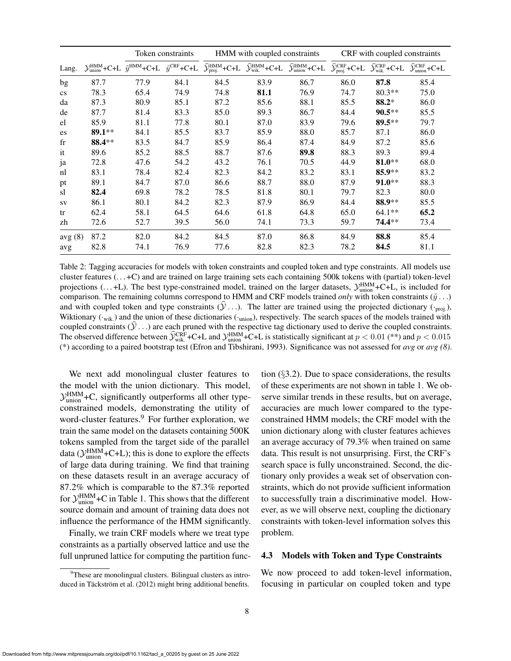|                        |                                                | Token constraints                                           |      | HMM with coupled constraints                             |                                                               |                                                                                                                                  | CRF with coupled constraints |                                                         |                                                          |
|------------------------|------------------------------------------------|-------------------------------------------------------------|------|----------------------------------------------------------|---------------------------------------------------------------|----------------------------------------------------------------------------------------------------------------------------------|------------------------------|---------------------------------------------------------|----------------------------------------------------------|
| Lang.                  | $\mathcal{Y}_{\text{union}}^{\text{HMM}}$ +C+L | $\tilde{y}^{\text{HMM}}$ +C+L $\tilde{y}^{\text{CRF}}$ +C+L |      | $\widehat{\mathcal{Y}}^{\text{HMM}}_{\text{proj.}}$ +C+L | $\widehat{\mathcal{Y}}^{\text{HMM}}_{\text{wik.}}\text{+C+L}$ | $\widehat{\mathcal{Y}}_{\text{union}}^{\text{HMM}}\text{+C+L}\quad \widehat{\mathcal{Y}}_{\text{proj.}}^{\text{CRF}}\text{+C+L}$ |                              | $\widehat{\mathcal{Y}}_{\text{wik.}}^{\text{CRF}}$ +C+L | $\widehat{\mathcal{Y}}_{\text{union}}^{\text{CRF}}$ +C+L |
| bg                     | 87.7                                           | 77.9                                                        | 84.1 | 84.5                                                     | 83.9                                                          | 86.7                                                                                                                             | 86.0                         | 87.8                                                    | 85.4                                                     |
| $\mathbf{c}\mathbf{s}$ | 78.3                                           | 65.4                                                        | 74.9 | 74.8                                                     | 81.1                                                          | 76.9                                                                                                                             | 74.7                         | $80.3**$                                                | 75.0                                                     |
| da                     | 87.3                                           | 80.9                                                        | 85.1 | 87.2                                                     | 85.6                                                          | 88.1                                                                                                                             | 85.5                         | 88.2*                                                   | 86.0                                                     |
| de                     | 87.7                                           | 81.4                                                        | 83.3 | 85.0                                                     | 89.3                                                          | 86.7                                                                                                                             | 84.4                         | $90.5***$                                               | 85.5                                                     |
| el                     | 85.9                                           | 81.1                                                        | 77.8 | 80.1                                                     | 87.0                                                          | 83.9                                                                                                                             | 79.6                         | $89.5***$                                               | 79.7                                                     |
| es                     | 89.1**                                         | 84.1                                                        | 85.5 | 83.7                                                     | 85.9                                                          | 88.0                                                                                                                             | 85.7                         | 87.1                                                    | 86.0                                                     |
| $_{\rm fr}$            | 88.4**                                         | 83.5                                                        | 84.7 | 85.9                                                     | 86.4                                                          | 87.4                                                                                                                             | 84.9                         | 87.2                                                    | 85.6                                                     |
| it                     | 89.6                                           | 85.2                                                        | 88.5 | 88.7                                                     | 87.6                                                          | 89.8                                                                                                                             | 88.3                         | 89.3                                                    | 89.4                                                     |
| ja                     | 72.8                                           | 47.6                                                        | 54.2 | 43.2                                                     | 76.1                                                          | 70.5                                                                                                                             | 44.9                         | $81.0**$                                                | 68.0                                                     |
| nl                     | 83.1                                           | 78.4                                                        | 82.4 | 82.3                                                     | 84.2                                                          | 83.2                                                                                                                             | 83.1                         | $85.9**$                                                | 83.2                                                     |
| pt                     | 89.1                                           | 84.7                                                        | 87.0 | 86.6                                                     | 88.7                                                          | 88.0                                                                                                                             | 87.9                         | $91.0**$                                                | 88.3                                                     |
| sl                     | 82.4                                           | 69.8                                                        | 78.2 | 78.5                                                     | 81.8                                                          | 80.1                                                                                                                             | 79.7                         | 82.3                                                    | 80.0                                                     |
| <b>SV</b>              | 86.1                                           | 80.1                                                        | 84.2 | 82.3                                                     | 87.9                                                          | 86.9                                                                                                                             | 84.4                         | 88.9**                                                  | 85.5                                                     |
| tr                     | 62.4                                           | 58.1                                                        | 64.5 | 64.6                                                     | 61.8                                                          | 64.8                                                                                                                             | 65.0                         | $64.1**$                                                | 65.2                                                     |
| zh                     | 72.6                                           | 52.7                                                        | 39.5 | 56.0                                                     | 74.1                                                          | 73.3                                                                                                                             | 59.7                         | 74.4**                                                  | 73.4                                                     |
| avg(8)                 | 87.2                                           | 82.0                                                        | 84.2 | 84.5                                                     | 87.0                                                          | 86.8                                                                                                                             | 84.9                         | 88.8                                                    | 85.4                                                     |
| avg                    | 82.8                                           | 74.1                                                        | 76.9 | 77.6                                                     | 82.8                                                          | 82.3                                                                                                                             | 78.2                         | 84.5                                                    | 81.1                                                     |

Table 2: Tagging accuracies for models with token constraints and coupled token and type constraints. All models use cluster features  $(...+C)$  and are trained on large training sets each containing 500k tokens with (partial) token-level projections  $($ ...+L). The best type-constrained model, trained on the larger datasets,  $\mathcal{Y}_{\text{union}}^{\text{HMM}}$ +C+L, is included for comparison. The remaining columns correspond to HMM and CRF models trained *only* with token constraints  $(\tilde{y} \dots)$ and with coupled token and type constraints  $(\hat{y}, \cdot)$ . The latter are trained using the projected dictionary ( $\cdot_{\text{proj.}}$ ), Wiktionary  $(\cdot_{\text{wik}})$  and the union of these dictionaries  $(\cdot_{\text{union}})$ , respectively. The search spaces of the models trained with coupled constraints  $(\mathcal{Y}, \ldots)$  are each pruned with the respective tag dictionary used to derive the coupled constraints. The observed difference between  $\hat{y}_{\text{wik.}}^{\text{CRF}}$  +C+L and  $y_{\text{union}}^{\text{HMM}}$  +C+L is statistically significant at  $p < 0.01$  (\*\*) and  $p < 0.015$ (\*) according to a paired bootstrap test (Efron and Tibshirani, 1993). Significance was not assessed for *avg* or *avg (8)*.

We next add monolingual cluster features to the model with the union dictionary. This model,  $\mathcal{Y}_{\text{union}}^{\text{HMM}}$ +C, significantly outperforms all other typeconstrained models, demonstrating the utility of word-cluster features.<sup>9</sup> For further exploration, we train the same model on the datasets containing 500K tokens sampled from the target side of the parallel data ( $\mathcal{Y}_{\text{union}}^{\text{HMM}}$ +C+L); this is done to explore the effects of large data during training. We find that training on these datasets result in an average accuracy of 87.2% which is comparable to the 87.3% reported for  $\mathcal{Y}_{\text{union}}^{\text{HMM}}$ +C in Table 1. This shows that the different source domain and amount of training data does not influence the performance of the HMM significantly.

Finally, we train CRF models where we treat type constraints as a partially observed lattice and use the full unpruned lattice for computing the partition function (§3.2). Due to space considerations, the results of these experiments are not shown in table 1. We observe similar trends in these results, but on average, accuracies are much lower compared to the typeconstrained HMM models; the CRF model with the union dictionary along with cluster features achieves an average accuracy of 79.3% when trained on same data. This result is not unsurprising. First, the CRF's search space is fully unconstrained. Second, the dictionary only provides a weak set of observation constraints, which do not provide sufficient information to successfully train a discriminative model. However, as we will observe next, coupling the dictionary constraints with token-level information solves this problem.

### 4.3 Models with Token and Type Constraints

We now proceed to add token-level information, focusing in particular on coupled token and type

<sup>&</sup>lt;sup>9</sup>These are monolingual clusters. Bilingual clusters as introduced in Täckström et al. (2012) might bring additional benefits.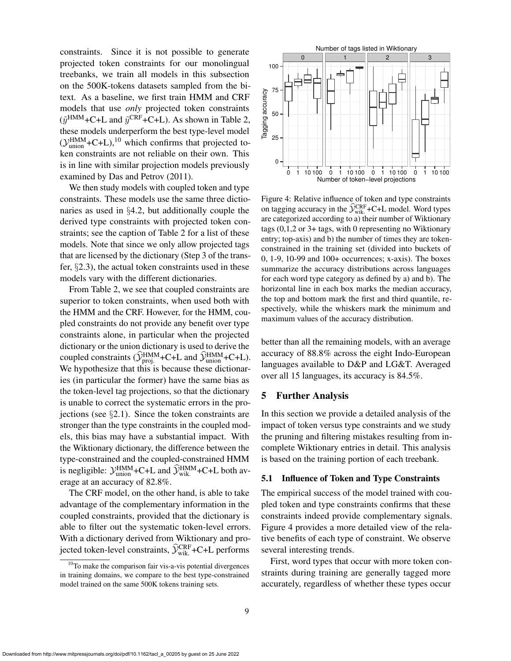constraints. Since it is not possible to generate projected token constraints for our monolingual treebanks, we train all models in this subsection on the 500K-tokens datasets sampled from the bitext. As a baseline, we first train HMM and CRF models that use *only* projected token constraints  $(\tilde{y}^{\text{HMM}} + \text{C+L} \text{ and } \tilde{y}^{\text{CRF}} + \text{C+L})$ . As shown in Table 2, these models underperform the best type-level model  $(\mathcal{Y}_{union}^{HMM}+C+L),^{10}$  which confirms that projected token constraints are not reliable on their own. This is in line with similar projection models previously examined by Das and Petrov (2011).

We then study models with coupled token and type constraints. These models use the same three dictionaries as used in §4.2, but additionally couple the derived type constraints with projected token constraints; see the caption of Table 2 for a list of these models. Note that since we only allow projected tags that are licensed by the dictionary (Step 3 of the transfer, §2.3), the actual token constraints used in these models vary with the different dictionaries.

From Table 2, we see that coupled constraints are superior to token constraints, when used both with the HMM and the CRF. However, for the HMM, coupled constraints do not provide any benefit over type constraints alone, in particular when the projected dictionary or the union dictionary is used to derive the coupled constraints ( $\hat{\mathcal{Y}}_{\text{proj.}}^{\text{HMM}}$ +C+L and  $\hat{\mathcal{Y}}_{\text{union}}^{\text{HMM}}$ +C+L). We hypothesize that this is because these dictionaries (in particular the former) have the same bias as the token-level tag projections, so that the dictionary is unable to correct the systematic errors in the projections (see  $\S 2.1$ ). Since the token constraints are stronger than the type constraints in the coupled models, this bias may have a substantial impact. With the Wiktionary dictionary, the difference between the type-constrained and the coupled-constrained HMM is negligible:  $\mathcal{Y}_{\text{union}}^{\text{HMM}}$ +C+L and  $\widehat{\mathcal{Y}}_{\text{wik}}^{\text{HMM}}$ +C+L both average at an accuracy of 82.8%.

The CRF model, on the other hand, is able to take advantage of the complementary information in the coupled constraints, provided that the dictionary is able to filter out the systematic token-level errors. With a dictionary derived from Wiktionary and projected token-level constraints,  $\hat{y}_{\text{wik.}}^{\text{CRF}}$ +C+L performs



Figure 4: Relative influence of token and type constraints on tagging accuracy in the  $\hat{y}_{\text{wik}}^{\text{CRF}}$ +C+L model. Word types are categorized according to a) their number of Wiktionary tags (0,1,2 or 3+ tags, with 0 representing no Wiktionary entry; top-axis) and b) the number of times they are tokenconstrained in the training set (divided into buckets of 0, 1-9, 10-99 and 100+ occurrences; x-axis). The boxes summarize the accuracy distributions across languages for each word type category as defined by a) and b). The horizontal line in each box marks the median accuracy, the top and bottom mark the first and third quantile, respectively, while the whiskers mark the minimum and maximum values of the accuracy distribution.

better than all the remaining models, with an average accuracy of 88.8% across the eight Indo-European languages available to D&P and LG&T. Averaged over all 15 languages, its accuracy is 84.5%.

### 5 Further Analysis

In this section we provide a detailed analysis of the impact of token versus type constraints and we study the pruning and filtering mistakes resulting from incomplete Wiktionary entries in detail. This analysis is based on the training portion of each treebank.

#### 5.1 Influence of Token and Type Constraints

The empirical success of the model trained with coupled token and type constraints confirms that these constraints indeed provide complementary signals. Figure 4 provides a more detailed view of the relative benefits of each type of constraint. We observe several interesting trends.

First, word types that occur with more token constraints during training are generally tagged more accurately, regardless of whether these types occur

<sup>&</sup>lt;sup>10</sup>To make the comparison fair vis-a-vis potential divergences in training domains, we compare to the best type-constrained model trained on the same 500K tokens training sets.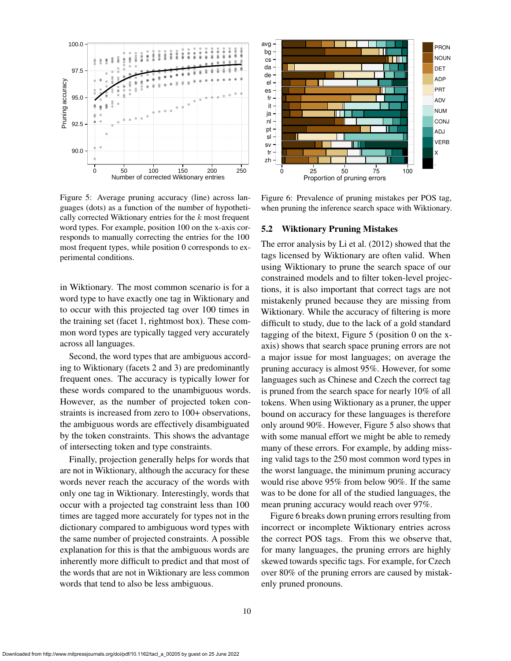

Figure 5: Average pruning accuracy (line) across languages (dots) as a function of the number of hypothetically corrected Wiktionary entries for the k most frequent word types. For example, position 100 on the x-axis corresponds to manually correcting the entries for the 100 most frequent types, while position 0 corresponds to experimental conditions.

in Wiktionary. The most common scenario is for a word type to have exactly one tag in Wiktionary and to occur with this projected tag over 100 times in the training set (facet 1, rightmost box). These common word types are typically tagged very accurately across all languages.

Second, the word types that are ambiguous according to Wiktionary (facets 2 and 3) are predominantly frequent ones. The accuracy is typically lower for these words compared to the unambiguous words. However, as the number of projected token constraints is increased from zero to 100+ observations, the ambiguous words are effectively disambiguated by the token constraints. This shows the advantage of intersecting token and type constraints.

Finally, projection generally helps for words that are not in Wiktionary, although the accuracy for these words never reach the accuracy of the words with only one tag in Wiktionary. Interestingly, words that occur with a projected tag constraint less than 100 times are tagged more accurately for types not in the dictionary compared to ambiguous word types with the same number of projected constraints. A possible explanation for this is that the ambiguous words are inherently more difficult to predict and that most of the words that are not in Wiktionary are less common words that tend to also be less ambiguous.



Figure 6: Prevalence of pruning mistakes per POS tag, when pruning the inference search space with Wiktionary.

#### 5.2 Wiktionary Pruning Mistakes

The error analysis by Li et al. (2012) showed that the tags licensed by Wiktionary are often valid. When using Wiktionary to prune the search space of our constrained models and to filter token-level projections, it is also important that correct tags are not mistakenly pruned because they are missing from Wiktionary. While the accuracy of filtering is more difficult to study, due to the lack of a gold standard tagging of the bitext, Figure 5 (position 0 on the xaxis) shows that search space pruning errors are not a major issue for most languages; on average the pruning accuracy is almost 95%. However, for some languages such as Chinese and Czech the correct tag is pruned from the search space for nearly 10% of all tokens. When using Wiktionary as a pruner, the upper bound on accuracy for these languages is therefore only around 90%. However, Figure 5 also shows that with some manual effort we might be able to remedy many of these errors. For example, by adding missing valid tags to the 250 most common word types in the worst language, the minimum pruning accuracy would rise above 95% from below 90%. If the same was to be done for all of the studied languages, the mean pruning accuracy would reach over 97%.

Figure 6 breaks down pruning errors resulting from incorrect or incomplete Wiktionary entries across the correct POS tags. From this we observe that, for many languages, the pruning errors are highly skewed towards specific tags. For example, for Czech over 80% of the pruning errors are caused by mistakenly pruned pronouns.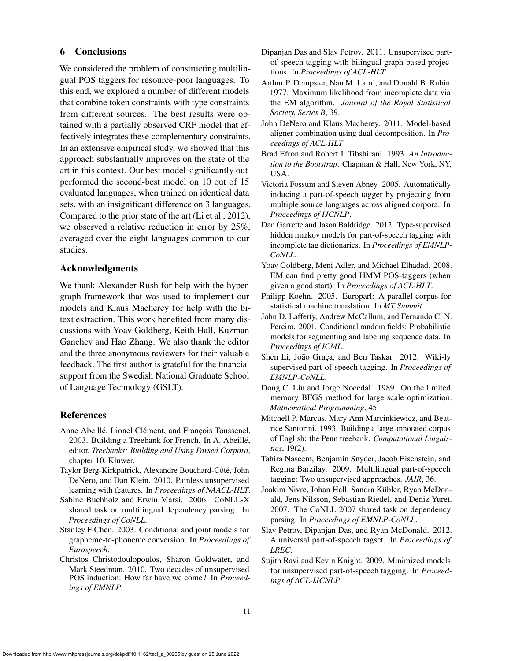# 6 Conclusions

We considered the problem of constructing multilingual POS taggers for resource-poor languages. To this end, we explored a number of different models that combine token constraints with type constraints from different sources. The best results were obtained with a partially observed CRF model that effectively integrates these complementary constraints. In an extensive empirical study, we showed that this approach substantially improves on the state of the art in this context. Our best model significantly outperformed the second-best model on 10 out of 15 evaluated languages, when trained on identical data sets, with an insignificant difference on 3 languages. Compared to the prior state of the art (Li et al., 2012), we observed a relative reduction in error by 25%, averaged over the eight languages common to our studies.

# Acknowledgments

We thank Alexander Rush for help with the hypergraph framework that was used to implement our models and Klaus Macherey for help with the bitext extraction. This work benefited from many discussions with Yoav Goldberg, Keith Hall, Kuzman Ganchev and Hao Zhang. We also thank the editor and the three anonymous reviewers for their valuable feedback. The first author is grateful for the financial support from the Swedish National Graduate School of Language Technology (GSLT).

### **References**

- Anne Abeillé, Lionel Clément, and François Toussenel. 2003. Building a Treebank for French. In A. Abeille,´ editor, *Treebanks: Building and Using Parsed Corpora*, chapter 10. Kluwer.
- Taylor Berg-Kirkpatrick, Alexandre Bouchard-Côté, John DeNero, and Dan Klein. 2010. Painless unsupervised learning with features. In *Proceedings of NAACL-HLT*.
- Sabine Buchholz and Erwin Marsi. 2006. CoNLL-X shared task on multilingual dependency parsing. In *Proceedings of CoNLL*.
- Stanley F Chen. 2003. Conditional and joint models for grapheme-to-phoneme conversion. In *Proceedings of Eurospeech*.
- Christos Christodoulopoulos, Sharon Goldwater, and Mark Steedman. 2010. Two decades of unsupervised POS induction: How far have we come? In *Proceedings of EMNLP*.
- Dipanjan Das and Slav Petrov. 2011. Unsupervised partof-speech tagging with bilingual graph-based projections. In *Proceedings of ACL-HLT*.
- Arthur P. Dempster, Nan M. Laird, and Donald B. Rubin. 1977. Maximum likelihood from incomplete data via the EM algorithm. *Journal of the Royal Statistical Society, Series B*, 39.
- John DeNero and Klaus Macherey. 2011. Model-based aligner combination using dual decomposition. In *Proceedings of ACL-HLT*.
- Brad Efron and Robert J. Tibshirani. 1993. *An Introduction to the Bootstrap*. Chapman & Hall, New York, NY, USA.
- Victoria Fossum and Steven Abney. 2005. Automatically inducing a part-of-speech tagger by projecting from multiple source languages across aligned corpora. In *Proceedings of IJCNLP*.
- Dan Garrette and Jason Baldridge. 2012. Type-supervised hidden markov models for part-of-speech tagging with incomplete tag dictionaries. In *Proceedings of EMNLP-CoNLL*.
- Yoav Goldberg, Meni Adler, and Michael Elhadad. 2008. EM can find pretty good HMM POS-taggers (when given a good start). In *Proceedings of ACL-HLT*.
- Philipp Koehn. 2005. Europarl: A parallel corpus for statistical machine translation. In *MT Summit*.
- John D. Lafferty, Andrew McCallum, and Fernando C. N. Pereira. 2001. Conditional random fields: Probabilistic models for segmenting and labeling sequence data. In *Proceedings of ICML*.
- Shen Li, João Graça, and Ben Taskar. 2012. Wiki-ly supervised part-of-speech tagging. In *Proceedings of EMNLP-CoNLL*.
- Dong C. Liu and Jorge Nocedal. 1989. On the limited memory BFGS method for large scale optimization. *Mathematical Programming*, 45.
- Mitchell P. Marcus, Mary Ann Marcinkiewicz, and Beatrice Santorini. 1993. Building a large annotated corpus of English: the Penn treebank. *Computational Linguistics*, 19(2).
- Tahira Naseem, Benjamin Snyder, Jacob Eisenstein, and Regina Barzilay. 2009. Multilingual part-of-speech tagging: Two unsupervised approaches. *JAIR*, 36.
- Joakim Nivre, Johan Hall, Sandra Kübler, Ryan McDonald, Jens Nilsson, Sebastian Riedel, and Deniz Yuret. 2007. The CoNLL 2007 shared task on dependency parsing. In *Proceedings of EMNLP-CoNLL*.
- Slav Petrov, Dipanjan Das, and Ryan McDonald. 2012. A universal part-of-speech tagset. In *Proceedings of LREC*.
- Sujith Ravi and Kevin Knight. 2009. Minimized models for unsupervised part-of-speech tagging. In *Proceedings of ACL-IJCNLP*.